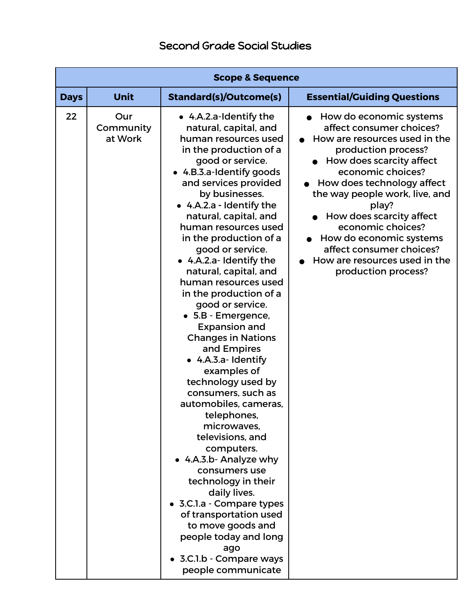|             | <b>Scope &amp; Sequence</b> |                                                                                                                                                                                                                                                                                                                                                                                                                                                                                                                                                                                                                                                                                                                                                                                                                                                                                                                                                                    |                                                                                                                                                                                                                                                                                                                                                                                                       |  |
|-------------|-----------------------------|--------------------------------------------------------------------------------------------------------------------------------------------------------------------------------------------------------------------------------------------------------------------------------------------------------------------------------------------------------------------------------------------------------------------------------------------------------------------------------------------------------------------------------------------------------------------------------------------------------------------------------------------------------------------------------------------------------------------------------------------------------------------------------------------------------------------------------------------------------------------------------------------------------------------------------------------------------------------|-------------------------------------------------------------------------------------------------------------------------------------------------------------------------------------------------------------------------------------------------------------------------------------------------------------------------------------------------------------------------------------------------------|--|
| <b>Days</b> | <b>Unit</b>                 | <b>Standard(s)/Outcome(s)</b>                                                                                                                                                                                                                                                                                                                                                                                                                                                                                                                                                                                                                                                                                                                                                                                                                                                                                                                                      | <b>Essential/Guiding Questions</b>                                                                                                                                                                                                                                                                                                                                                                    |  |
| 22          | Our<br>Community<br>at Work | • 4.A.2.a-Identify the<br>natural, capital, and<br>human resources used<br>in the production of a<br>good or service.<br>• 4.B.3.a-Identify goods<br>and services provided<br>by businesses.<br>• 4.A.2.a - Identify the<br>natural, capital, and<br>human resources used<br>in the production of a<br>good or service.<br>• 4.A.2.a- Identify the<br>natural, capital, and<br>human resources used<br>in the production of a<br>good or service.<br>• 5.B - Emergence,<br><b>Expansion and</b><br><b>Changes in Nations</b><br>and Empires<br>• 4.A.3.a- Identify<br>examples of<br>technology used by<br>consumers, such as<br>automobiles, cameras,<br>telephones,<br>microwaves,<br>televisions, and<br>computers.<br>• 4.A.3.b- Analyze why<br>consumers use<br>technology in their<br>daily lives.<br>3.C.1.a - Compare types<br>of transportation used<br>to move goods and<br>people today and long<br>ago<br>3.C.1.b - Compare ways<br>people communicate | How do economic systems<br>affect consumer choices?<br>How are resources used in the<br>production process?<br>How does scarcity affect<br>economic choices?<br>How does technology affect<br>the way people work, live, and<br>play?<br>How does scarcity affect<br>economic choices?<br>How do economic systems<br>affect consumer choices?<br>How are resources used in the<br>production process? |  |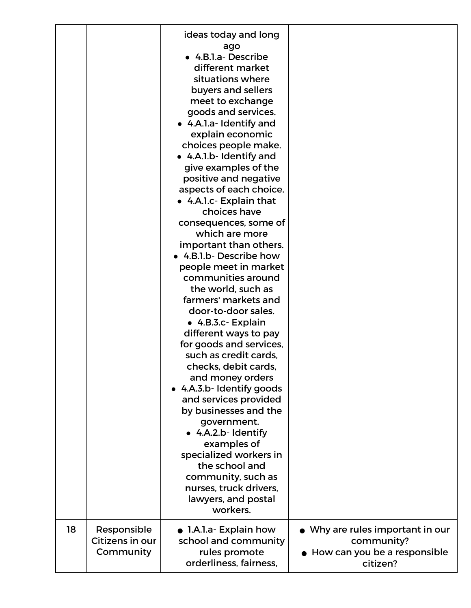|    |                                             | ideas today and long<br>ago<br>• 4.B.1.a- Describe<br>different market<br>situations where<br>buyers and sellers<br>meet to exchange<br>goods and services.<br>• 4.A.1.a- Identify and<br>explain economic<br>choices people make.<br>• 4.A.1.b- Identify and<br>give examples of the<br>positive and negative<br>aspects of each choice.<br>• 4.A.I.c- Explain that<br>choices have<br>consequences, some of<br>which are more<br>important than others.<br>• 4.B.1.b- Describe how<br>people meet in market<br>communities around<br>the world, such as<br>farmers' markets and<br>door-to-door sales.<br>• 4.B.3.c- Explain<br>different ways to pay<br>for goods and services,<br>such as credit cards,<br>checks, debit cards,<br>and money orders<br>• 4.A.3.b- Identify goods<br>and services provided<br>by businesses and the |                                                                                                      |
|----|---------------------------------------------|----------------------------------------------------------------------------------------------------------------------------------------------------------------------------------------------------------------------------------------------------------------------------------------------------------------------------------------------------------------------------------------------------------------------------------------------------------------------------------------------------------------------------------------------------------------------------------------------------------------------------------------------------------------------------------------------------------------------------------------------------------------------------------------------------------------------------------------|------------------------------------------------------------------------------------------------------|
|    |                                             |                                                                                                                                                                                                                                                                                                                                                                                                                                                                                                                                                                                                                                                                                                                                                                                                                                        |                                                                                                      |
|    |                                             | government.                                                                                                                                                                                                                                                                                                                                                                                                                                                                                                                                                                                                                                                                                                                                                                                                                            |                                                                                                      |
|    |                                             | • 4.A.2.b- Identify<br>examples of<br>specialized workers in<br>the school and<br>community, such as                                                                                                                                                                                                                                                                                                                                                                                                                                                                                                                                                                                                                                                                                                                                   |                                                                                                      |
|    |                                             | nurses, truck drivers,<br>lawyers, and postal<br>workers.                                                                                                                                                                                                                                                                                                                                                                                                                                                                                                                                                                                                                                                                                                                                                                              |                                                                                                      |
| 18 | Responsible<br>Citizens in our<br>Community | $\bullet$ 1.A.1.a- Explain how<br>school and community<br>rules promote<br>orderliness, fairness,                                                                                                                                                                                                                                                                                                                                                                                                                                                                                                                                                                                                                                                                                                                                      | $\bullet$ Why are rules important in our<br>community?<br>• How can you be a responsible<br>citizen? |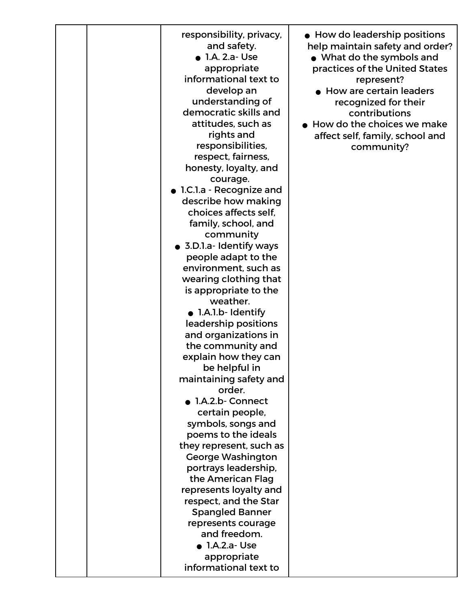| responsibility, privacy,<br>and safety.<br>$\bullet$ 1.A. 2.a-Use<br>appropriate<br>informational text to<br>develop an<br>understanding of<br>democratic skills and<br>attitudes, such as<br>rights and<br>responsibilities,<br>respect, fairness,<br>honesty, loyalty, and<br>courage.<br>• 1.C.1.a - Recognize and<br>describe how making<br>choices affects self,<br>family, school, and<br>community<br>• 3.D.1.a- Identify ways<br>people adapt to the<br>environment, such as<br>wearing clothing that<br>is appropriate to the<br>weather.<br>• 1.A.1.b- Identify<br>leadership positions<br>and organizations in<br>the community and<br>explain how they can<br>be helpful in<br>maintaining safety and<br>order.<br>• 1.A.2.b- Connect<br>certain people,<br>symbols, songs and<br>poems to the ideals<br>they represent, such as<br><b>George Washington</b><br>portrays leadership,<br>the American Flag<br>represents loyalty and<br>respect, and the Star<br><b>Spangled Banner</b><br>represents courage<br>and freedom.<br>$\bullet$ 1.A.2.a-Use | • How do leadership positions<br>help maintain safety and order?<br>• What do the symbols and<br>practices of the United States<br>represent?<br>$\bullet$ How are certain leaders<br>recognized for their<br>contributions<br>How do the choices we make<br>affect self, family, school and<br>community? |
|-------------------------------------------------------------------------------------------------------------------------------------------------------------------------------------------------------------------------------------------------------------------------------------------------------------------------------------------------------------------------------------------------------------------------------------------------------------------------------------------------------------------------------------------------------------------------------------------------------------------------------------------------------------------------------------------------------------------------------------------------------------------------------------------------------------------------------------------------------------------------------------------------------------------------------------------------------------------------------------------------------------------------------------------------------------------|------------------------------------------------------------------------------------------------------------------------------------------------------------------------------------------------------------------------------------------------------------------------------------------------------------|
| appropriate<br>informational text to                                                                                                                                                                                                                                                                                                                                                                                                                                                                                                                                                                                                                                                                                                                                                                                                                                                                                                                                                                                                                              |                                                                                                                                                                                                                                                                                                            |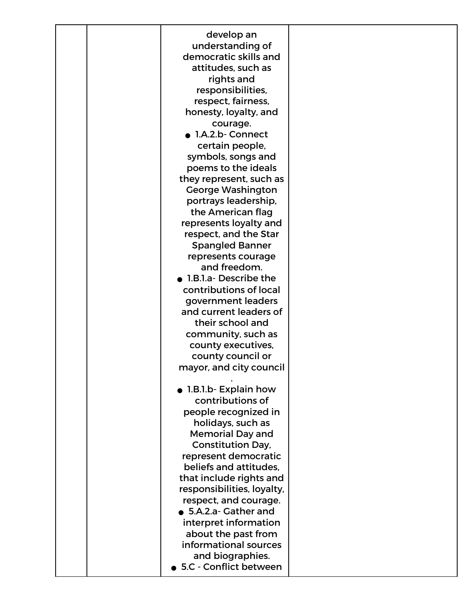| develop an<br>understanding of<br>democratic skills and<br>attitudes, such as<br>rights and<br>responsibilities,<br>respect, fairness,<br>honesty, loyalty, and<br>courage.<br>· 1.A.2.b- Connect<br>certain people,<br>symbols, songs and<br>poems to the ideals<br>they represent, such as<br><b>George Washington</b><br>portrays leadership,<br>the American flag<br>represents loyalty and<br>respect, and the Star<br><b>Spangled Banner</b><br>represents courage<br>and freedom.<br>1.B.1.a-Describe the<br>contributions of local<br>government leaders<br>and current leaders of<br>their school and<br>community, such as<br>county executives, |  |
|------------------------------------------------------------------------------------------------------------------------------------------------------------------------------------------------------------------------------------------------------------------------------------------------------------------------------------------------------------------------------------------------------------------------------------------------------------------------------------------------------------------------------------------------------------------------------------------------------------------------------------------------------------|--|
| county council or<br>mayor, and city council                                                                                                                                                                                                                                                                                                                                                                                                                                                                                                                                                                                                               |  |
| • 1.B.1.b- Explain how<br>contributions of<br>people recognized in<br>holidays, such as<br><b>Memorial Day and</b><br><b>Constitution Day,</b><br>represent democratic<br>beliefs and attitudes.<br>that include rights and<br>responsibilities, loyalty,<br>respect, and courage.<br>• 5.A.2.a- Gather and<br>interpret information<br>about the past from<br>informational sources<br>and biographies.<br>• 5.C - Conflict between                                                                                                                                                                                                                       |  |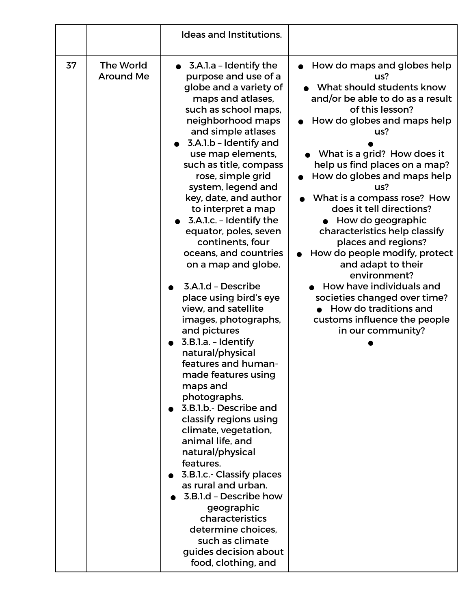|    |                               | <b>Ideas and Institutions.</b>                                                                                                                                                                                                                                                                                                                                                                                                                                                                                                                                                                                                                                                                                                                                                                                                                                                                                                                                                                                                                                 |                                                                                                                                                                                                                                                                                                                                                                                                                                                                                                                                                                                                                               |
|----|-------------------------------|----------------------------------------------------------------------------------------------------------------------------------------------------------------------------------------------------------------------------------------------------------------------------------------------------------------------------------------------------------------------------------------------------------------------------------------------------------------------------------------------------------------------------------------------------------------------------------------------------------------------------------------------------------------------------------------------------------------------------------------------------------------------------------------------------------------------------------------------------------------------------------------------------------------------------------------------------------------------------------------------------------------------------------------------------------------|-------------------------------------------------------------------------------------------------------------------------------------------------------------------------------------------------------------------------------------------------------------------------------------------------------------------------------------------------------------------------------------------------------------------------------------------------------------------------------------------------------------------------------------------------------------------------------------------------------------------------------|
| 37 | The World<br><b>Around Me</b> | $\bullet$ 3.A.1.a - Identify the<br>purpose and use of a<br>globe and a variety of<br>maps and atlases,<br>such as school maps,<br>neighborhood maps<br>and simple atlases<br>3.A.1.b - Identify and<br>use map elements,<br>such as title, compass<br>rose, simple grid<br>system, legend and<br>key, date, and author<br>to interpret a map<br>$\bullet$ 3.A.1.c. - Identify the<br>equator, poles, seven<br>continents, four<br>oceans, and countries<br>on a map and globe.<br>3.A.1.d - Describe<br>place using bird's eye<br>view, and satellite<br>images, photographs,<br>and pictures<br>3.B.l.a. - Identify<br>natural/physical<br>features and human-<br>made features using<br>maps and<br>photographs.<br>• 3.B.1.b.- Describe and<br>classify regions using<br>climate, vegetation,<br>animal life, and<br>natural/physical<br>features.<br>3.B.I.c.- Classify places<br>as rural and urban.<br>3.B.1.d - Describe how<br>geographic<br>characteristics<br>determine choices.<br>such as climate<br>guides decision about<br>food, clothing, and | How do maps and globes help<br>us?<br>What should students know<br>and/or be able to do as a result<br>of this lesson?<br>How do globes and maps help<br>us?<br>What is a grid? How does it<br>help us find places on a map?<br>How do globes and maps help<br>us?<br>What is a compass rose? How<br>does it tell directions?<br>• How do geographic<br>characteristics help classify<br>places and regions?<br>How do people modify, protect<br>and adapt to their<br>environment?<br>How have individuals and<br>societies changed over time?<br>How do traditions and<br>customs influence the people<br>in our community? |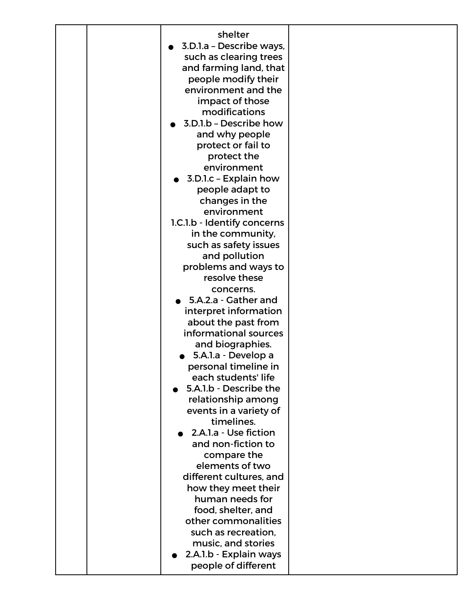|  | shelter                     |  |
|--|-----------------------------|--|
|  | 3.D.1.a - Describe ways,    |  |
|  | such as clearing trees      |  |
|  | and farming land, that      |  |
|  | people modify their         |  |
|  | environment and the         |  |
|  | impact of those             |  |
|  | modifications               |  |
|  | 3.D.1.b - Describe how      |  |
|  | and why people              |  |
|  | protect or fail to          |  |
|  | protect the                 |  |
|  | environment                 |  |
|  | 3.D.1.c - Explain how       |  |
|  |                             |  |
|  | people adapt to             |  |
|  | changes in the              |  |
|  | environment                 |  |
|  | 1.C.1.b - Identify concerns |  |
|  | in the community,           |  |
|  | such as safety issues       |  |
|  | and pollution               |  |
|  | problems and ways to        |  |
|  | resolve these               |  |
|  | concerns.                   |  |
|  | 5.A.2.a - Gather and        |  |
|  | interpret information       |  |
|  | about the past from         |  |
|  | informational sources       |  |
|  | and biographies.            |  |
|  | 5.A.1.a - Develop a         |  |
|  | personal timeline in        |  |
|  | each students' life         |  |
|  | 5.A.1.b - Describe the      |  |
|  | relationship among          |  |
|  | events in a variety of      |  |
|  | timelines.                  |  |
|  | 2.A.1.a - Use fiction       |  |
|  | and non-fiction to          |  |
|  | compare the                 |  |
|  | elements of two             |  |
|  | different cultures, and     |  |
|  | how they meet their         |  |
|  | human needs for             |  |
|  | food, shelter, and          |  |
|  | other commonalities         |  |
|  | such as recreation,         |  |
|  | music, and stories          |  |
|  | 2.A.1.b - Explain ways      |  |
|  | people of different         |  |
|  |                             |  |